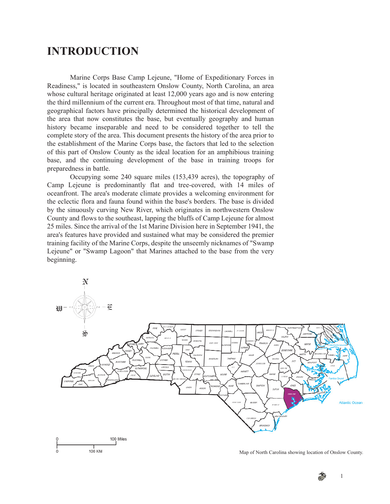## **INTRODUCTION**

Marine Corps Base Camp Lejeune, "Home of Expeditionary Forces in Readiness," is located in southeastern Onslow County, North Carolina, an area whose cultural heritage originated at least 12,000 years ago and is now entering the third millennium of the current era. Throughout most of that time, natural and geographical factors have principally determined the historical development of the area that now constitutes the base, but eventually geography and human history became inseparable and need to be considered together to tell the complete story of the area. This document presents the history of the area prior to the establishment of the Marine Corps base, the factors that led to the selection of this part of Onslow County as the ideal location for an amphibious training base, and the continuing development of the base in training troops for preparedness in battle.

Occupying some 240 square miles (153,439 acres), the topography of Camp Lejeune is predominantly flat and tree-covered, with 14 miles of oceanfront. The area's moderate climate provides a welcoming environment for the eclectic flora and fauna found within the base's borders. The base is divided by the sinuously curving New River, which originates in northwestern Onslow County and flows to the southeast, lapping the bluffs of Camp Lejeune for almost 25 miles. Since the arrival of the 1st Marine Division here in September 1941, the area's features have provided and sustained what may be considered the premier training facility of the Marine Corps, despite the unseemly nicknames of "Swamp Lejeune" or "Swamp Lagoon" that Marines attached to the base from the very beginning.



Map of North Carolina showing location of Onslow County.